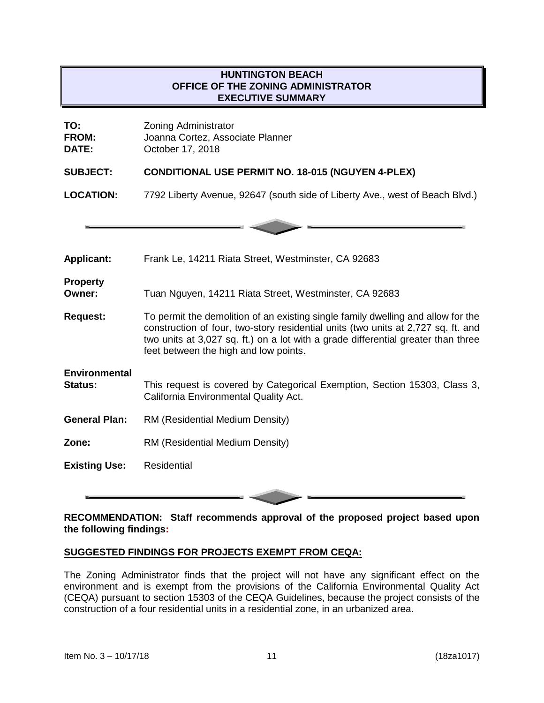# **HUNTINGTON BEACH OFFICE OF THE ZONING ADMINISTRATOR EXECUTIVE SUMMARY**

| TO:<br><b>FROM:</b><br>DATE:           | <b>Zoning Administrator</b><br>Joanna Cortez, Associate Planner<br>October 17, 2018                                                                                                                                                                                                                 |
|----------------------------------------|-----------------------------------------------------------------------------------------------------------------------------------------------------------------------------------------------------------------------------------------------------------------------------------------------------|
| <b>SUBJECT:</b>                        | <b>CONDITIONAL USE PERMIT NO. 18-015 (NGUYEN 4-PLEX)</b>                                                                                                                                                                                                                                            |
| <b>LOCATION:</b>                       | 7792 Liberty Avenue, 92647 (south side of Liberty Ave., west of Beach Blvd.)                                                                                                                                                                                                                        |
|                                        |                                                                                                                                                                                                                                                                                                     |
| <b>Applicant:</b>                      | Frank Le, 14211 Riata Street, Westminster, CA 92683                                                                                                                                                                                                                                                 |
| <b>Property</b><br>Owner:              | Tuan Nguyen, 14211 Riata Street, Westminster, CA 92683                                                                                                                                                                                                                                              |
| <b>Request:</b>                        | To permit the demolition of an existing single family dwelling and allow for the<br>construction of four, two-story residential units (two units at 2,727 sq. ft. and<br>two units at 3,027 sq. ft.) on a lot with a grade differential greater than three<br>feet between the high and low points. |
| <b>Environmental</b><br><b>Status:</b> | This request is covered by Categorical Exemption, Section 15303, Class 3,<br>California Environmental Quality Act.                                                                                                                                                                                  |
| <b>General Plan:</b>                   | RM (Residential Medium Density)                                                                                                                                                                                                                                                                     |
| Zone:                                  | RM (Residential Medium Density)                                                                                                                                                                                                                                                                     |
| <b>Existing Use:</b>                   | <b>Residential</b>                                                                                                                                                                                                                                                                                  |

## **RECOMMENDATION: Staff recommends approval of the proposed project based upon the following findings:**

## **SUGGESTED FINDINGS FOR PROJECTS EXEMPT FROM CEQA:**

The Zoning Administrator finds that the project will not have any significant effect on the environment and is exempt from the provisions of the California Environmental Quality Act (CEQA) pursuant to section 15303 of the CEQA Guidelines, because the project consists of the construction of a four residential units in a residential zone, in an urbanized area.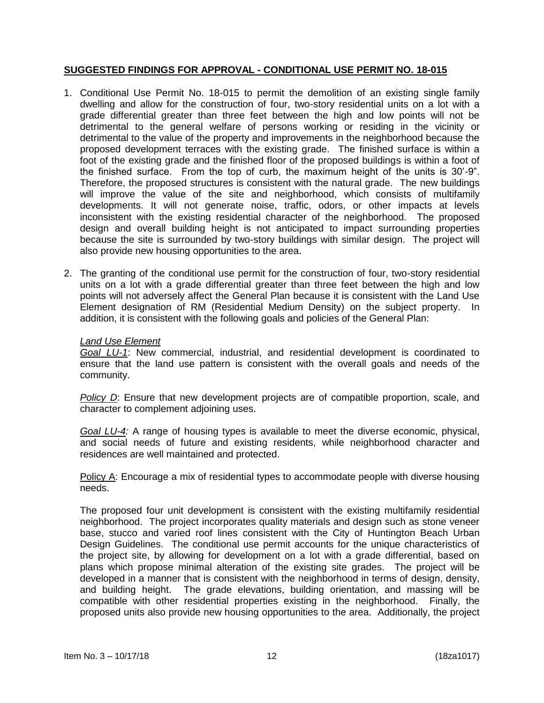### **SUGGESTED FINDINGS FOR APPROVAL - CONDITIONAL USE PERMIT NO. 18-015**

- 1. Conditional Use Permit No. 18-015 to permit the demolition of an existing single family dwelling and allow for the construction of four, two-story residential units on a lot with a grade differential greater than three feet between the high and low points will not be detrimental to the general welfare of persons working or residing in the vicinity or detrimental to the value of the property and improvements in the neighborhood because the proposed development terraces with the existing grade. The finished surface is within a foot of the existing grade and the finished floor of the proposed buildings is within a foot of the finished surface. From the top of curb, the maximum height of the units is 30'-9". Therefore, the proposed structures is consistent with the natural grade. The new buildings will improve the value of the site and neighborhood, which consists of multifamily developments. It will not generate noise, traffic, odors, or other impacts at levels inconsistent with the existing residential character of the neighborhood. The proposed design and overall building height is not anticipated to impact surrounding properties because the site is surrounded by two-story buildings with similar design. The project will also provide new housing opportunities to the area.
- 2. The granting of the conditional use permit for the construction of four, two-story residential units on a lot with a grade differential greater than three feet between the high and low points will not adversely affect the General Plan because it is consistent with the Land Use Element designation of RM (Residential Medium Density) on the subject property. In addition, it is consistent with the following goals and policies of the General Plan:

#### *Land Use Element*

*Goal LU-1*: New commercial, industrial, and residential development is coordinated to ensure that the land use pattern is consistent with the overall goals and needs of the community.

*Policy D*: Ensure that new development projects are of compatible proportion, scale, and character to complement adjoining uses.

*Goal LU-4:* A range of housing types is available to meet the diverse economic, physical, and social needs of future and existing residents, while neighborhood character and residences are well maintained and protected.

Policy A: Encourage a mix of residential types to accommodate people with diverse housing needs.

The proposed four unit development is consistent with the existing multifamily residential neighborhood. The project incorporates quality materials and design such as stone veneer base, stucco and varied roof lines consistent with the City of Huntington Beach Urban Design Guidelines. The conditional use permit accounts for the unique characteristics of the project site, by allowing for development on a lot with a grade differential, based on plans which propose minimal alteration of the existing site grades. The project will be developed in a manner that is consistent with the neighborhood in terms of design, density, and building height. The grade elevations, building orientation, and massing will be compatible with other residential properties existing in the neighborhood. Finally, the proposed units also provide new housing opportunities to the area. Additionally, the project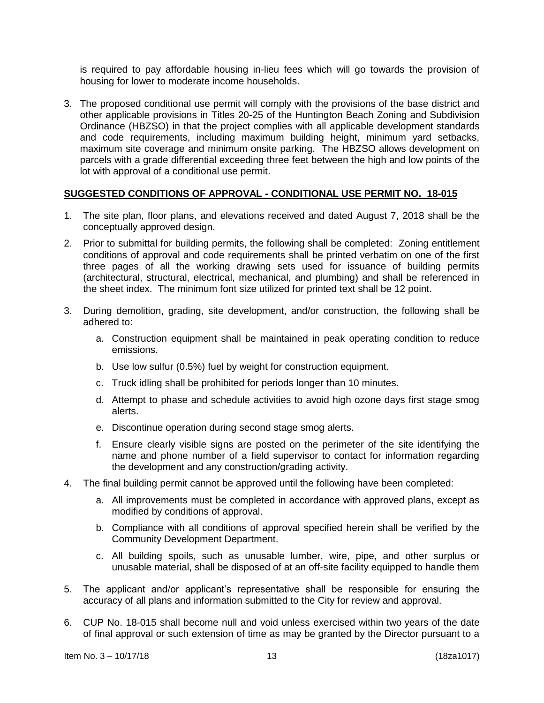is required to pay affordable housing in-lieu fees which will go towards the provision of housing for lower to moderate income households.

3. The proposed conditional use permit will comply with the provisions of the base district and other applicable provisions in Titles 20-25 of the Huntington Beach Zoning and Subdivision Ordinance (HBZSO) in that the project complies with all applicable development standards and code requirements, including maximum building height, minimum yard setbacks, maximum site coverage and minimum onsite parking. The HBZSO allows development on parcels with a grade differential exceeding three feet between the high and low points of the lot with approval of a conditional use permit.

### **SUGGESTED CONDITIONS OF APPROVAL - CONDITIONAL USE PERMIT NO. 18-015**

- 1. The site plan, floor plans, and elevations received and dated August 7, 2018 shall be the conceptually approved design.
- 2. Prior to submittal for building permits, the following shall be completed: Zoning entitlement conditions of approval and code requirements shall be printed verbatim on one of the first three pages of all the working drawing sets used for issuance of building permits (architectural, structural, electrical, mechanical, and plumbing) and shall be referenced in the sheet index. The minimum font size utilized for printed text shall be 12 point.
- 3. During demolition, grading, site development, and/or construction, the following shall be adhered to:
	- a. Construction equipment shall be maintained in peak operating condition to reduce emissions.
	- b. Use low sulfur (0.5%) fuel by weight for construction equipment.
	- c. Truck idling shall be prohibited for periods longer than 10 minutes.
	- d. Attempt to phase and schedule activities to avoid high ozone days first stage smog alerts.
	- e. Discontinue operation during second stage smog alerts.
	- f. Ensure clearly visible signs are posted on the perimeter of the site identifying the name and phone number of a field supervisor to contact for information regarding the development and any construction/grading activity.
- 4. The final building permit cannot be approved until the following have been completed:
	- a. All improvements must be completed in accordance with approved plans, except as modified by conditions of approval.
	- b. Compliance with all conditions of approval specified herein shall be verified by the Community Development Department.
	- c. All building spoils, such as unusable lumber, wire, pipe, and other surplus or unusable material, shall be disposed of at an off-site facility equipped to handle them
- 5. The applicant and/or applicant's representative shall be responsible for ensuring the accuracy of all plans and information submitted to the City for review and approval.
- 6. CUP No. 18-015 shall become null and void unless exercised within two years of the date of final approval or such extension of time as may be granted by the Director pursuant to a